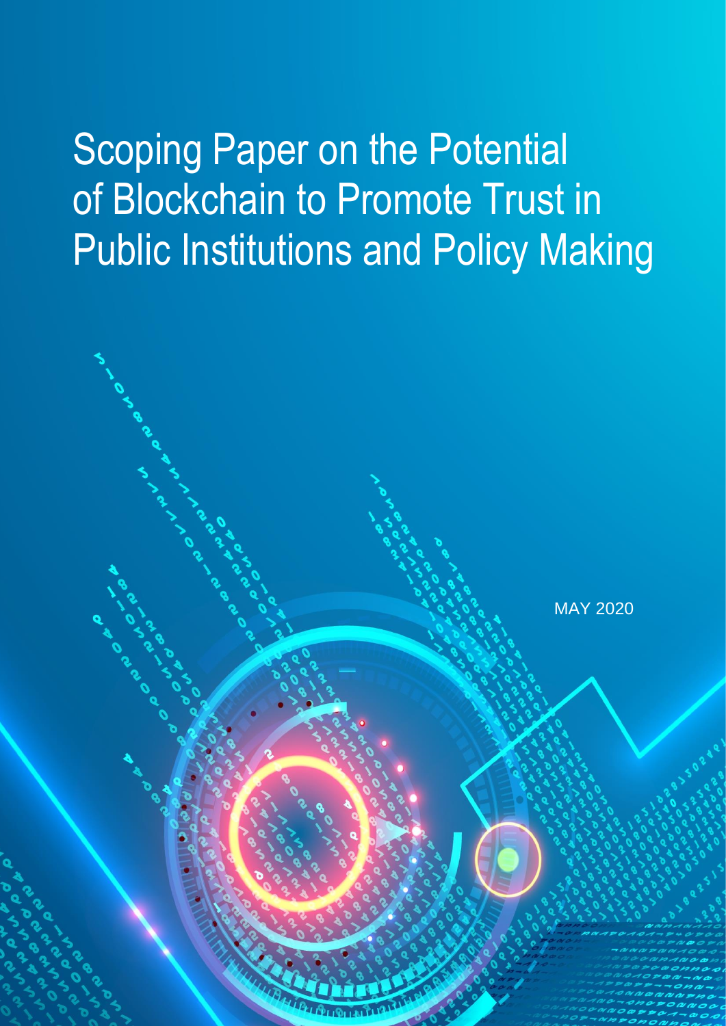# Scoping Paper on the Potential of Blockchain to Promote Trust in Public Institutions and Policy Making

MAY 2020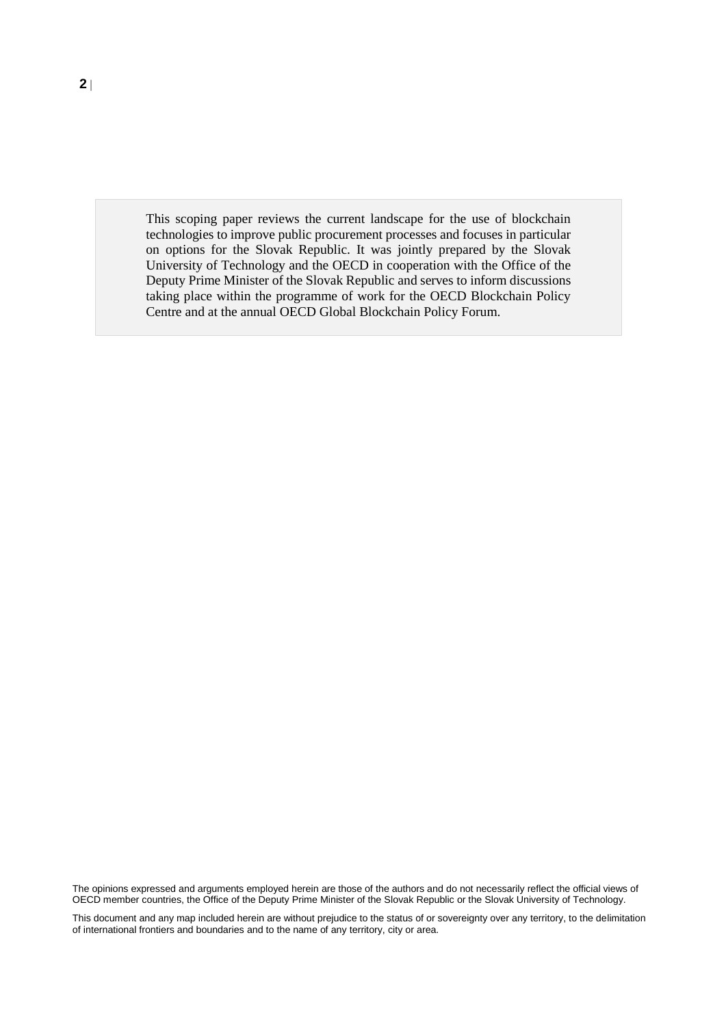This scoping paper reviews the current landscape for the use of blockchain technologies to improve public procurement processes and focuses in particular on options for the Slovak Republic. It was jointly prepared by the Slovak University of Technology and the OECD in cooperation with the Office of the Deputy Prime Minister of the Slovak Republic and serves to inform discussions taking place within the programme of work for the OECD Blockchain Policy Centre and at the annual OECD Global Blockchain Policy Forum.

The opinions expressed and arguments employed herein are those of the authors and do not necessarily reflect the official views of OECD member countries, the Office of the Deputy Prime Minister of the Slovak Republic or the Slovak University of Technology.

This document and any map included herein are without prejudice to the status of or sovereignty over any territory, to the delimitation of international frontiers and boundaries and to the name of any territory, city or area.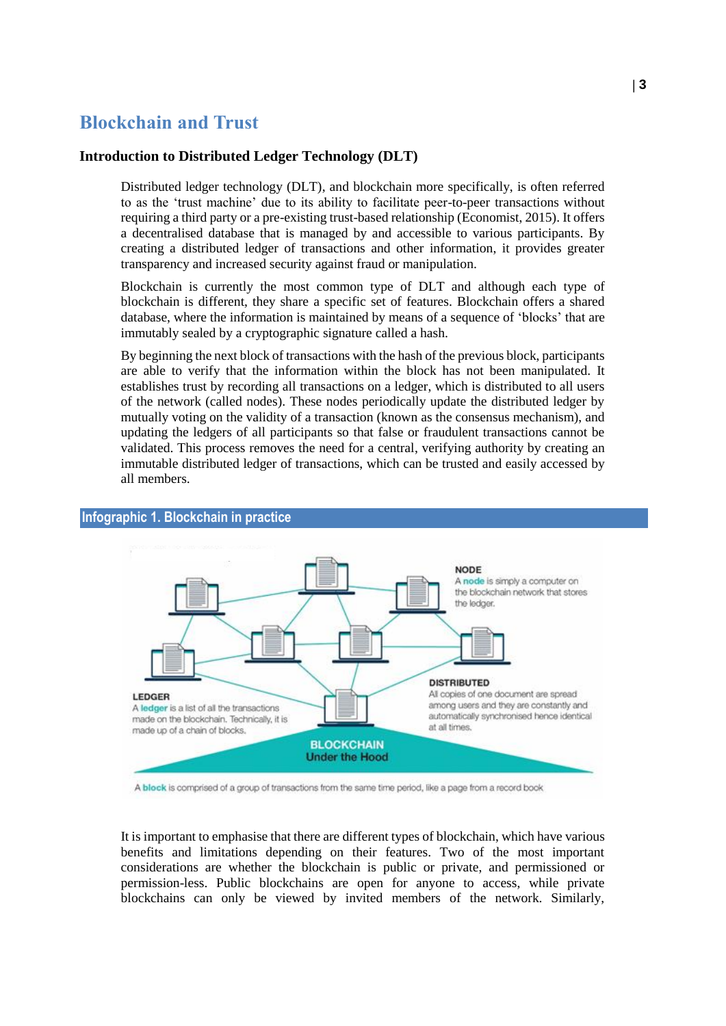# **Blockchain and Trust**

#### **Introduction to Distributed Ledger Technology (DLT)**

Distributed ledger technology (DLT), and blockchain more specifically, is often referred to as the 'trust machine' due to its ability to facilitate peer-to-peer transactions without requiring a third party or a pre-existing trust-based relationship (Economist, 2015). It offers a decentralised database that is managed by and accessible to various participants. By creating a distributed ledger of transactions and other information, it provides greater transparency and increased security against fraud or manipulation.

Blockchain is currently the most common type of DLT and although each type of blockchain is different, they share a specific set of features. Blockchain offers a shared database, where the information is maintained by means of a sequence of 'blocks' that are immutably sealed by a cryptographic signature called a hash.

By beginning the next block of transactions with the hash of the previous block, participants are able to verify that the information within the block has not been manipulated. It establishes trust by recording all transactions on a ledger, which is distributed to all users of the network (called nodes). These nodes periodically update the distributed ledger by mutually voting on the validity of a transaction (known as the consensus mechanism), and updating the ledgers of all participants so that false or fraudulent transactions cannot be validated. This process removes the need for a central, verifying authority by creating an immutable distributed ledger of transactions, which can be trusted and easily accessed by all members.



#### **Infographic 1. Blockchain in practice**

A block is comprised of a group of transactions from the same time period, like a page from a record book

It is important to emphasise that there are different types of blockchain, which have various benefits and limitations depending on their features. Two of the most important considerations are whether the blockchain is public or private, and permissioned or permission-less. Public blockchains are open for anyone to access, while private blockchains can only be viewed by invited members of the network. Similarly,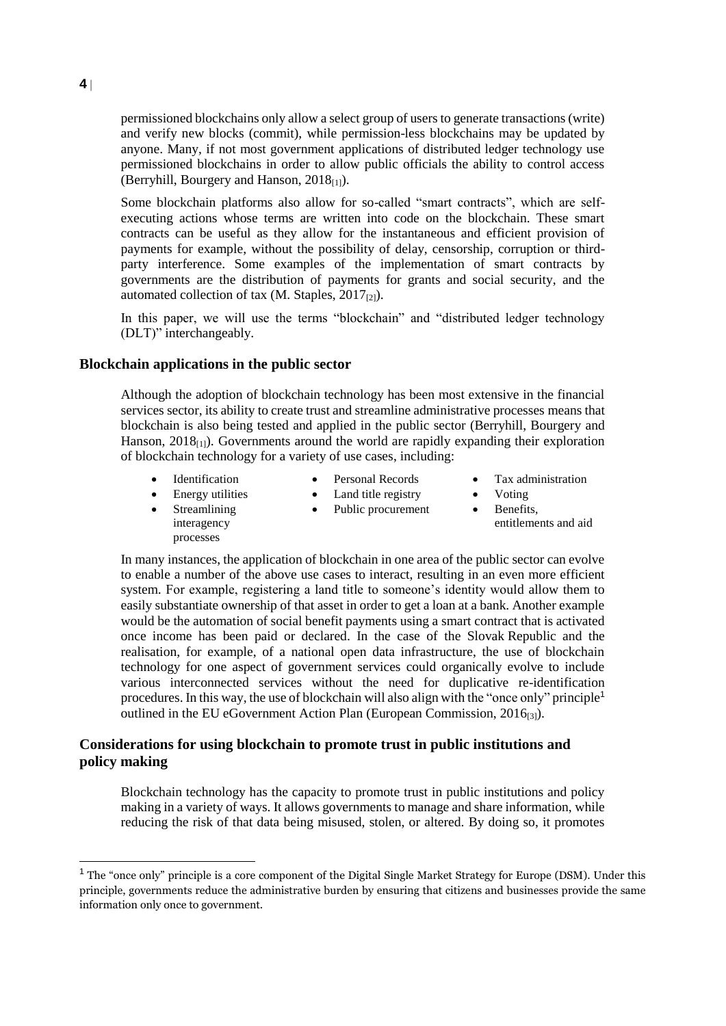permissioned blockchains only allow a select group of users to generate transactions (write) and verify new blocks (commit), while permission-less blockchains may be updated by anyone. Many, if not most government applications of distributed ledger technology use permissioned blockchains in order to allow public officials the ability to control access (Berryhill, Bourgery and Hanson,  $2018_{[1]}$ ).

Some blockchain platforms also allow for so-called "smart contracts", which are selfexecuting actions whose terms are written into code on the blockchain. These smart contracts can be useful as they allow for the instantaneous and efficient provision of payments for example, without the possibility of delay, censorship, corruption or thirdparty interference. Some examples of the implementation of smart contracts by governments are the distribution of payments for grants and social security, and the automated collection of tax  $(M. Staples, 2017<sub>[2]</sub>).$ 

In this paper, we will use the terms "blockchain" and "distributed ledger technology (DLT)" interchangeably.

#### **Blockchain applications in the public sector**

Although the adoption of blockchain technology has been most extensive in the financial services sector, its ability to create trust and streamline administrative processes means that blockchain is also being tested and applied in the public sector (Berryhill, Bourgery and Hanson,  $2018<sub>[1]</sub>$ ). Governments around the world are rapidly expanding their exploration of blockchain technology for a variety of use cases, including:

 Streamlining interagency processes

- Identification Personal Records Tax administration
- Energy utilities Land title registry Voting
	- Public procurement Benefits,
- 
- - entitlements and aid

In many instances, the application of blockchain in one area of the public sector can evolve to enable a number of the above use cases to interact, resulting in an even more efficient system. For example, registering a land title to someone's identity would allow them to easily substantiate ownership of that asset in order to get a loan at a bank. Another example would be the automation of social benefit payments using a smart contract that is activated once income has been paid or declared. In the case of the Slovak Republic and the realisation, for example, of a national open data infrastructure, the use of blockchain technology for one aspect of government services could organically evolve to include various interconnected services without the need for duplicative re-identification procedures. In this way, the use of blockchain will also align with the "once only" principle<sup>1</sup> outlined in the EU eGovernment Action Plan (European Commission, 2016<sub>[3]</sub>).

#### **Considerations for using blockchain to promote trust in public institutions and policy making**

Blockchain technology has the capacity to promote trust in public institutions and policy making in a variety of ways. It allows governments to manage and share information, while reducing the risk of that data being misused, stolen, or altered. By doing so, it promotes

**4**

<sup>&</sup>lt;sup>1</sup> The "once only" principle is a core component of the Digital Single Market Strategy for Europe (DSM). Under this principle, governments reduce the administrative burden by ensuring that citizens and businesses provide the same information only once to government.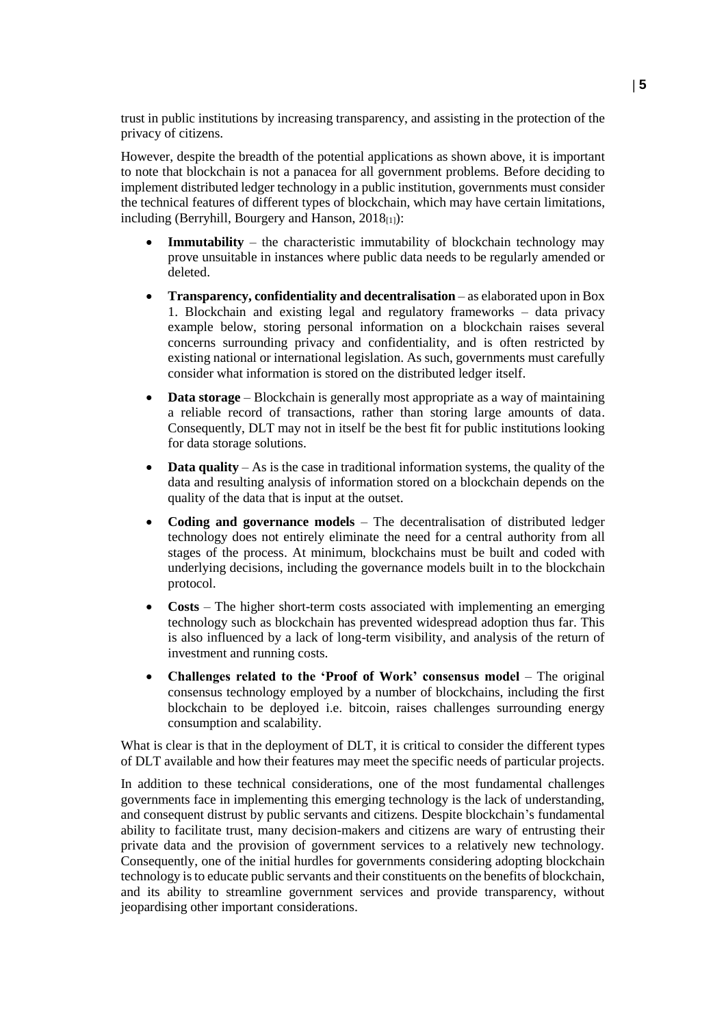trust in public institutions by increasing transparency, and assisting in the protection of the privacy of citizens.

However, despite the breadth of the potential applications as shown above, it is important to note that blockchain is not a panacea for all government problems. Before deciding to implement distributed ledger technology in a public institution, governments must consider the technical features of different types of blockchain, which may have certain limitations, including (Berryhill, Bourgery and Hanson,  $2018_{[1]}$ ):

- **Immutability** the characteristic immutability of blockchain technology may prove unsuitable in instances where public data needs to be regularly amended or deleted.
- **Transparency, confidentiality and decentralisation** as elaborated upon in Box 1. Blockchain and existing legal and regulatory frameworks – data privacy example [below,](#page-5-0) storing personal information on a blockchain raises several concerns surrounding privacy and confidentiality, and is often restricted by existing national or international legislation. As such, governments must carefully consider what information is stored on the distributed ledger itself.
- **Data storage** Blockchain is generally most appropriate as a way of maintaining a reliable record of transactions, rather than storing large amounts of data. Consequently, DLT may not in itself be the best fit for public institutions looking for data storage solutions.
- **Data quality** As is the case in traditional information systems, the quality of the data and resulting analysis of information stored on a blockchain depends on the quality of the data that is input at the outset.
- **Coding and governance models** The decentralisation of distributed ledger technology does not entirely eliminate the need for a central authority from all stages of the process. At minimum, blockchains must be built and coded with underlying decisions, including the governance models built in to the blockchain protocol.
- **Costs** The higher short-term costs associated with implementing an emerging technology such as blockchain has prevented widespread adoption thus far. This is also influenced by a lack of long-term visibility, and analysis of the return of investment and running costs.
- **Challenges related to the 'Proof of Work' consensus model** The original consensus technology employed by a number of blockchains, including the first blockchain to be deployed i.e. bitcoin, raises challenges surrounding energy consumption and scalability.

What is clear is that in the deployment of DLT, it is critical to consider the different types of DLT available and how their features may meet the specific needs of particular projects.

In addition to these technical considerations, one of the most fundamental challenges governments face in implementing this emerging technology is the lack of understanding, and consequent distrust by public servants and citizens. Despite blockchain's fundamental ability to facilitate trust, many decision-makers and citizens are wary of entrusting their private data and the provision of government services to a relatively new technology. Consequently, one of the initial hurdles for governments considering adopting blockchain technology is to educate public servants and their constituents on the benefits of blockchain, and its ability to streamline government services and provide transparency, without jeopardising other important considerations.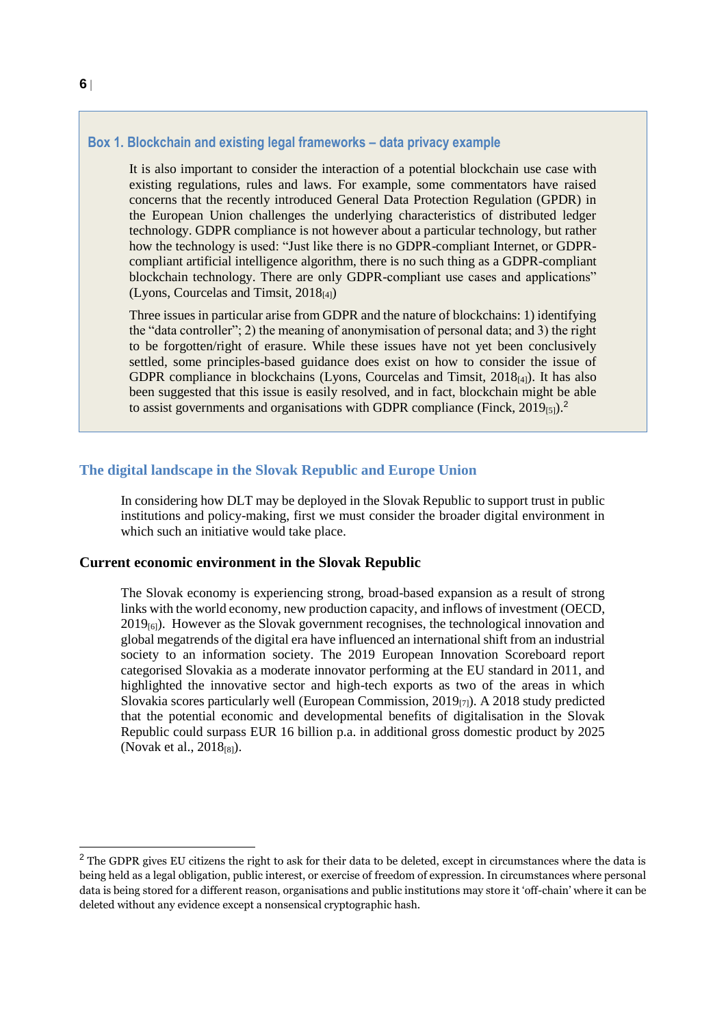#### <span id="page-5-0"></span>**Box 1. Blockchain and existing legal frameworks – data privacy example**

It is also important to consider the interaction of a potential blockchain use case with existing regulations, rules and laws. For example, some commentators have raised concerns that the recently introduced General Data Protection Regulation (GPDR) in the European Union challenges the underlying characteristics of distributed ledger technology. GDPR compliance is not however about a particular technology, but rather how the technology is used: "Just like there is no GDPR-compliant Internet, or GDPRcompliant artificial intelligence algorithm, there is no such thing as a GDPR-compliant blockchain technology. There are only GDPR-compliant use cases and applications" (Lyons, Courcelas and Timsit,  $2018_{[4]}$ )

Three issues in particular arise from GDPR and the nature of blockchains: 1) identifying the "data controller"; 2) the meaning of anonymisation of personal data; and 3) the right to be forgotten/right of erasure. While these issues have not yet been conclusively settled, some principles-based guidance does exist on how to consider the issue of GDPR compliance in blockchains (Lyons, Courcelas and Timsit, 2018[4]). It has also been suggested that this issue is easily resolved, and in fact, blockchain might be able to assist governments and organisations with GDPR compliance (Finck,  $2019_{[5]}$ ).<sup>2</sup>

#### **The digital landscape in the Slovak Republic and Europe Union**

In considering how DLT may be deployed in the Slovak Republic to support trust in public institutions and policy-making, first we must consider the broader digital environment in which such an initiative would take place.

#### **Current economic environment in the Slovak Republic**

The Slovak economy is experiencing strong, broad-based expansion as a result of strong links with the world economy, new production capacity, and inflows of investment (OECD,  $2019_{60}$ ). However as the Slovak government recognises, the technological innovation and global megatrends of the digital era have influenced an international shift from an industrial society to an information society. The 2019 European Innovation Scoreboard report categorised Slovakia as a moderate innovator performing at the EU standard in 2011, and highlighted the innovative sector and high-tech exports as two of the areas in which Slovakia scores particularly well (European Commission,  $2019_{[7]}$ ). A  $2018$  study predicted that the potential economic and developmental benefits of digitalisation in the Slovak Republic could surpass EUR 16 billion p.a. in additional gross domestic product by 2025 (Novak et al.,  $2018_{[8]}$ ).

<sup>&</sup>lt;sup>2</sup> The GDPR gives EU citizens the right to ask for their data to be deleted, except in circumstances where the data is being held as a legal obligation, public interest, or exercise of freedom of expression. In circumstances where personal data is being stored for a different reason, organisations and public institutions may store it 'off-chain' where it can be deleted without any evidence except a nonsensical cryptographic hash.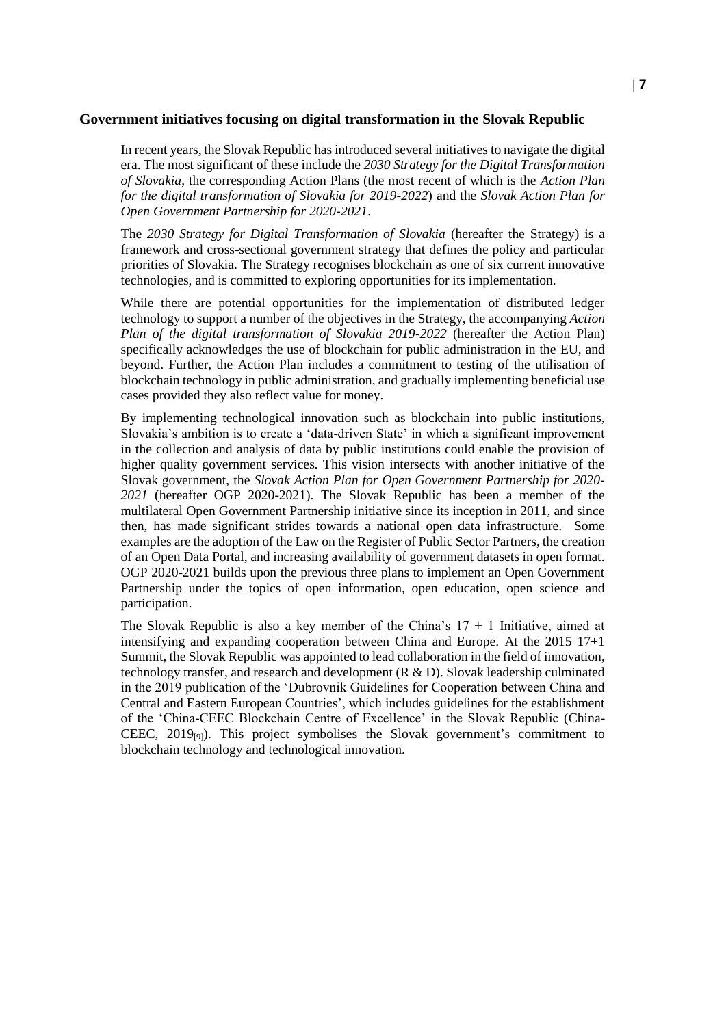#### **Government initiatives focusing on digital transformation in the Slovak Republic**

In recent years, the Slovak Republic has introduced several initiatives to navigate the digital era. The most significant of these include the *2030 Strategy for the Digital Transformation of Slovakia*, the corresponding Action Plans (the most recent of which is the *Action Plan for the digital transformation of Slovakia for 2019-2022*) and the *Slovak Action Plan for Open Government Partnership for 2020-2021*.

The *2030 Strategy for Digital Transformation of Slovakia* (hereafter the Strategy) is a framework and cross-sectional government strategy that defines the policy and particular priorities of Slovakia. The Strategy recognises blockchain as one of six current innovative technologies, and is committed to exploring opportunities for its implementation.

While there are potential opportunities for the implementation of distributed ledger technology to support a number of the objectives in the Strategy, the accompanying *Action Plan of the digital transformation of Slovakia 2019-2022* (hereafter the Action Plan) specifically acknowledges the use of blockchain for public administration in the EU, and beyond. Further, the Action Plan includes a commitment to testing of the utilisation of blockchain technology in public administration, and gradually implementing beneficial use cases provided they also reflect value for money.

By implementing technological innovation such as blockchain into public institutions, Slovakia's ambition is to create a 'data-driven State' in which a significant improvement in the collection and analysis of data by public institutions could enable the provision of higher quality government services. This vision intersects with another initiative of the Slovak government, the *Slovak Action Plan for Open Government Partnership for 2020- 2021* (hereafter OGP 2020-2021). The Slovak Republic has been a member of the multilateral Open Government Partnership initiative since its inception in 2011, and since then, has made significant strides towards a national open data infrastructure. Some examples are the adoption of the Law on the Register of Public Sector Partners, the creation of an Open Data Portal, and increasing availability of government datasets in open format. OGP 2020-2021 builds upon the previous three plans to implement an Open Government Partnership under the topics of open information, open education, open science and participation.

The Slovak Republic is also a key member of the China's  $17 + 1$  Initiative, aimed at intensifying and expanding cooperation between China and Europe. At the 2015 17+1 Summit, the Slovak Republic was appointed to lead collaboration in the field of innovation, technology transfer, and research and development  $(R & D)$ . Slovak leadership culminated in the 2019 publication of the 'Dubrovnik Guidelines for Cooperation between China and Central and Eastern European Countries', which includes guidelines for the establishment of the 'China-CEEC Blockchain Centre of Excellence' in the Slovak Republic (China-CEEC,  $2019_{[9]}$ ). This project symbolises the Slovak government's commitment to blockchain technology and technological innovation.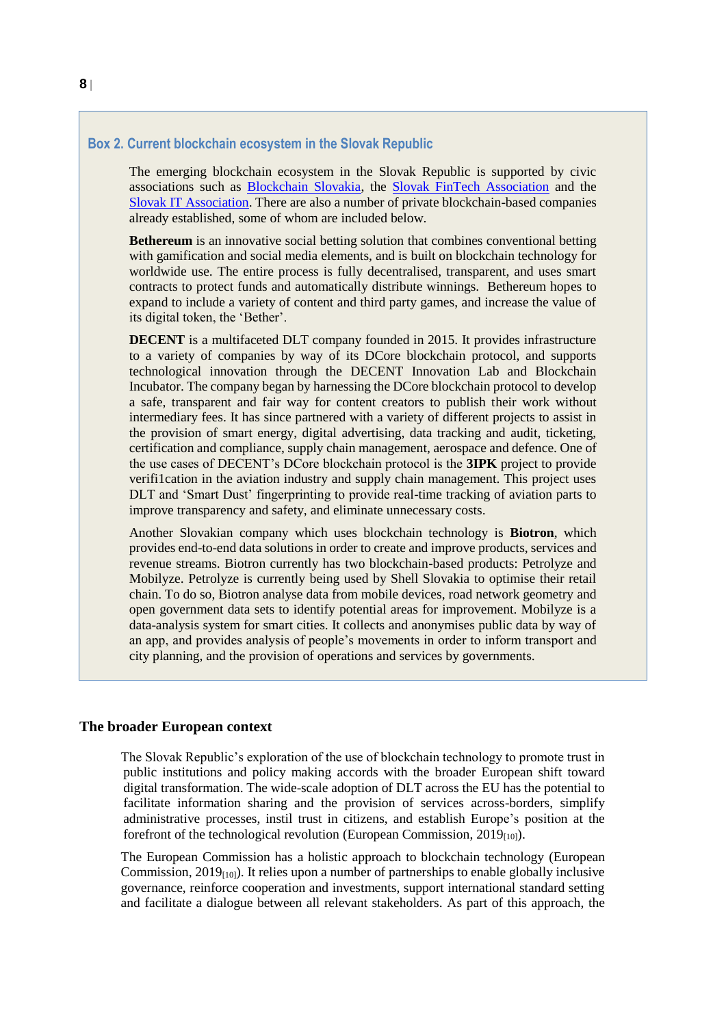#### **Box 2. Current blockchain ecosystem in the Slovak Republic**

The emerging blockchain ecosystem in the Slovak Republic is supported by civic associations such as [Blockchain Slovakia,](https://blockchainslovakia.sk/en/) the [Slovak FinTech Association](https://www.slovakfintech.sk/) and the [Slovak IT Association.](https://itas.sk/) There are also a number of private blockchain-based companies already established, some of whom are included below.

**Bethereum** is an innovative social betting solution that combines conventional betting with gamification and social media elements, and is built on blockchain technology for worldwide use. The entire process is fully decentralised, transparent, and uses smart contracts to protect funds and automatically distribute winnings. Bethereum hopes to expand to include a variety of content and third party games, and increase the value of its digital token, the 'Bether'.

**DECENT** is a multifaceted DLT company founded in 2015. It provides infrastructure to a variety of companies by way of its DCore blockchain protocol, and supports technological innovation through the DECENT Innovation Lab and Blockchain Incubator. The company began by harnessing the DCore blockchain protocol to develop a safe, transparent and fair way for content creators to publish their work without intermediary fees. It has since partnered with a variety of different projects to assist in the provision of smart energy, digital advertising, data tracking and audit, ticketing, certification and compliance, supply chain management, aerospace and defence. One of the use cases of DECENT's DCore blockchain protocol is the **3IPK** project to provide verifi1cation in the aviation industry and supply chain management. This project uses DLT and 'Smart Dust' fingerprinting to provide real-time tracking of aviation parts to improve transparency and safety, and eliminate unnecessary costs.

Another Slovakian company which uses blockchain technology is **Biotron**, which provides end-to-end data solutions in order to create and improve products, services and revenue streams. Biotron currently has two blockchain-based products: Petrolyze and Mobilyze. Petrolyze is currently being used by Shell Slovakia to optimise their retail chain. To do so, Biotron analyse data from mobile devices, road network geometry and open government data sets to identify potential areas for improvement. Mobilyze is a data-analysis system for smart cities. It collects and anonymises public data by way of an app, and provides analysis of people's movements in order to inform transport and city planning, and the provision of operations and services by governments.

#### **The broader European context**

The Slovak Republic's exploration of the use of blockchain technology to promote trust in public institutions and policy making accords with the broader European shift toward digital transformation. The wide-scale adoption of DLT across the EU has the potential to facilitate information sharing and the provision of services across-borders, simplify administrative processes, instil trust in citizens, and establish Europe's position at the forefront of the technological revolution (European Commission,  $2019_{[10]}$ ).

The European Commission has a holistic approach to blockchain technology (European Commission,  $2019_{[10]}$ ). It relies upon a number of partnerships to enable globally inclusive governance, reinforce cooperation and investments, support international standard setting and facilitate a dialogue between all relevant stakeholders. As part of this approach, the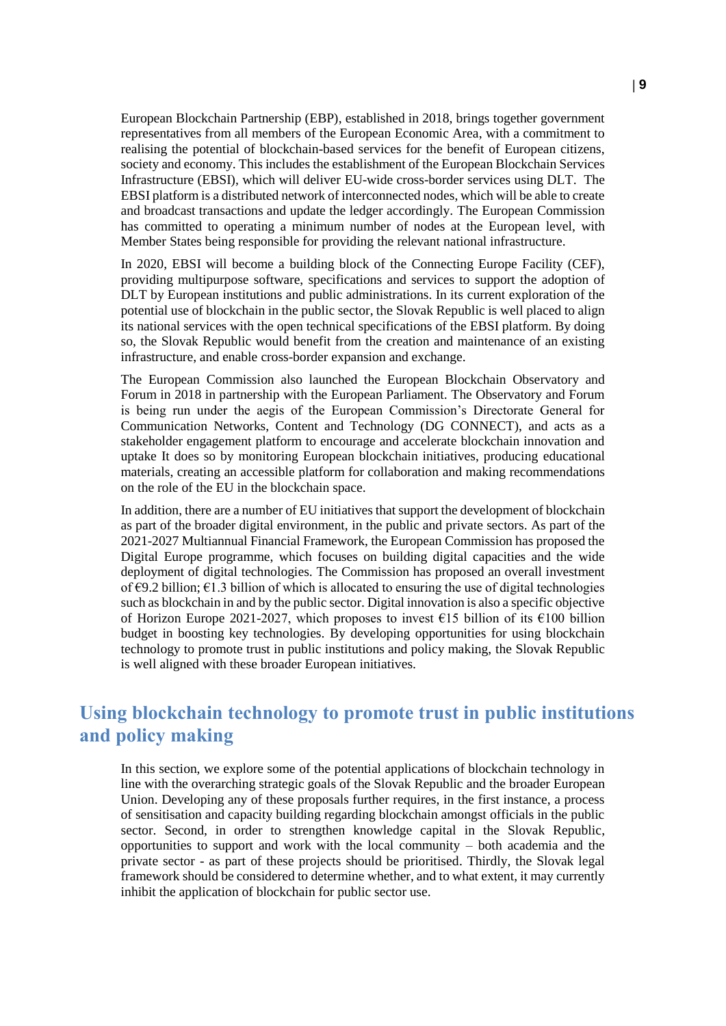European Blockchain Partnership (EBP), established in 2018, brings together government representatives from all members of the European Economic Area, with a commitment to realising the potential of blockchain-based services for the benefit of European citizens, society and economy. This includes the establishment of the European Blockchain Services Infrastructure (EBSI), which will deliver EU-wide cross-border services using DLT. The EBSI platform is a distributed network of interconnected nodes, which will be able to create and broadcast transactions and update the ledger accordingly. The European Commission has committed to operating a minimum number of nodes at the European level, with Member States being responsible for providing the relevant national infrastructure.

In 2020, EBSI will become a building block of the Connecting Europe Facility (CEF), providing multipurpose software, specifications and services to support the adoption of DLT by European institutions and public administrations. In its current exploration of the potential use of blockchain in the public sector, the Slovak Republic is well placed to align its national services with the open technical specifications of the EBSI platform. By doing so, the Slovak Republic would benefit from the creation and maintenance of an existing infrastructure, and enable cross-border expansion and exchange.

The European Commission also launched the European Blockchain Observatory and Forum in 2018 in partnership with the European Parliament. The Observatory and Forum is being run under the aegis of the European Commission's Directorate General for Communication Networks, Content and Technology (DG CONNECT), and acts as a stakeholder engagement platform to encourage and accelerate blockchain innovation and uptake It does so by monitoring European blockchain initiatives, producing educational materials, creating an accessible platform for collaboration and making recommendations on the role of the EU in the blockchain space.

In addition, there are a number of EU initiatives that support the development of blockchain as part of the broader digital environment, in the public and private sectors. As part of the 2021-2027 Multiannual Financial Framework, the European Commission has proposed the Digital Europe programme, which focuses on building digital capacities and the wide deployment of digital technologies. The Commission has proposed an overall investment of  $\epsilon$ 9.2 billion;  $\epsilon$ 1.3 billion of which is allocated to ensuring the use of digital technologies such as blockchain in and by the public sector. Digital innovation is also a specific objective of Horizon Europe 2021-2027, which proposes to invest  $\epsilon$ 15 billion of its  $\epsilon$ 100 billion budget in boosting key technologies. By developing opportunities for using blockchain technology to promote trust in public institutions and policy making, the Slovak Republic is well aligned with these broader European initiatives.

# <span id="page-8-0"></span>**Using blockchain technology to promote trust in public institutions and policy making**

In this section, we explore some of the potential applications of blockchain technology in line with the overarching strategic goals of the Slovak Republic and the broader European Union. Developing any of these proposals further requires, in the first instance, a process of sensitisation and capacity building regarding blockchain amongst officials in the public sector. Second, in order to strengthen knowledge capital in the Slovak Republic, opportunities to support and work with the local community – both academia and the private sector - as part of these projects should be prioritised. Thirdly, the Slovak legal framework should be considered to determine whether, and to what extent, it may currently inhibit the application of blockchain for public sector use.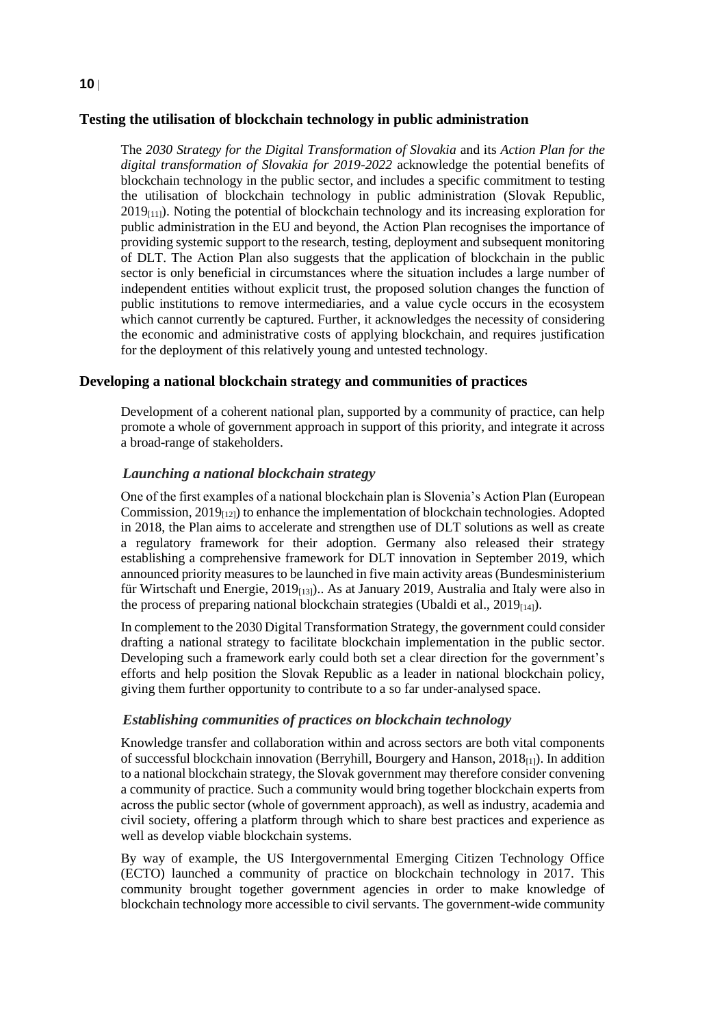#### **Testing the utilisation of blockchain technology in public administration**

The *2030 Strategy for the Digital Transformation of Slovakia* and its *Action Plan for the digital transformation of Slovakia for 2019-2022* acknowledge the potential benefits of blockchain technology in the public sector, and includes a specific commitment to testing the utilisation of blockchain technology in public administration (Slovak Republic,  $2019_{[11]}$ ). Noting the potential of blockchain technology and its increasing exploration for public administration in the EU and beyond, the Action Plan recognises the importance of providing systemic support to the research, testing, deployment and subsequent monitoring of DLT. The Action Plan also suggests that the application of blockchain in the public sector is only beneficial in circumstances where the situation includes a large number of independent entities without explicit trust, the proposed solution changes the function of public institutions to remove intermediaries, and a value cycle occurs in the ecosystem which cannot currently be captured. Further, it acknowledges the necessity of considering the economic and administrative costs of applying blockchain, and requires justification for the deployment of this relatively young and untested technology.

#### **Developing a national blockchain strategy and communities of practices**

Development of a coherent national plan, supported by a community of practice, can help promote a whole of government approach in support of this priority, and integrate it across a broad-range of stakeholders.

#### *Launching a national blockchain strategy*

One of the first examples of a national blockchain plan is Slovenia's Action Plan (European Commission,  $2019_{[12]}$ ) to enhance the implementation of blockchain technologies. Adopted in 2018, the Plan aims to accelerate and strengthen use of DLT solutions as well as create a regulatory framework for their adoption. Germany also released their strategy establishing a comprehensive framework for DLT innovation in September 2019, which announced priority measures to be launched in five main activity areas(Bundesministerium für Wirtschaft und Energie,  $2019_{[13]}$ . As at January 2019, Australia and Italy were also in the process of preparing national blockchain strategies (Ubaldi et al.,  $2019_{[14]}$ ).

In complement to the 2030 Digital Transformation Strategy, the government could consider drafting a national strategy to facilitate blockchain implementation in the public sector. Developing such a framework early could both set a clear direction for the government's efforts and help position the Slovak Republic as a leader in national blockchain policy, giving them further opportunity to contribute to a so far under-analysed space.

#### *Establishing communities of practices on blockchain technology*

Knowledge transfer and collaboration within and across sectors are both vital components of successful blockchain innovation (Berryhill, Bourgery and Hanson,  $2018_{[1]}$ ). In addition to a national blockchain strategy, the Slovak government may therefore consider convening a community of practice. Such a community would bring together blockchain experts from across the public sector (whole of government approach), as well as industry, academia and civil society, offering a platform through which to share best practices and experience as well as develop viable blockchain systems.

By way of example, the US Intergovernmental Emerging Citizen Technology Office (ECTO) launched a community of practice on blockchain technology in 2017. This community brought together government agencies in order to make knowledge of blockchain technology more accessible to civil servants. The government-wide community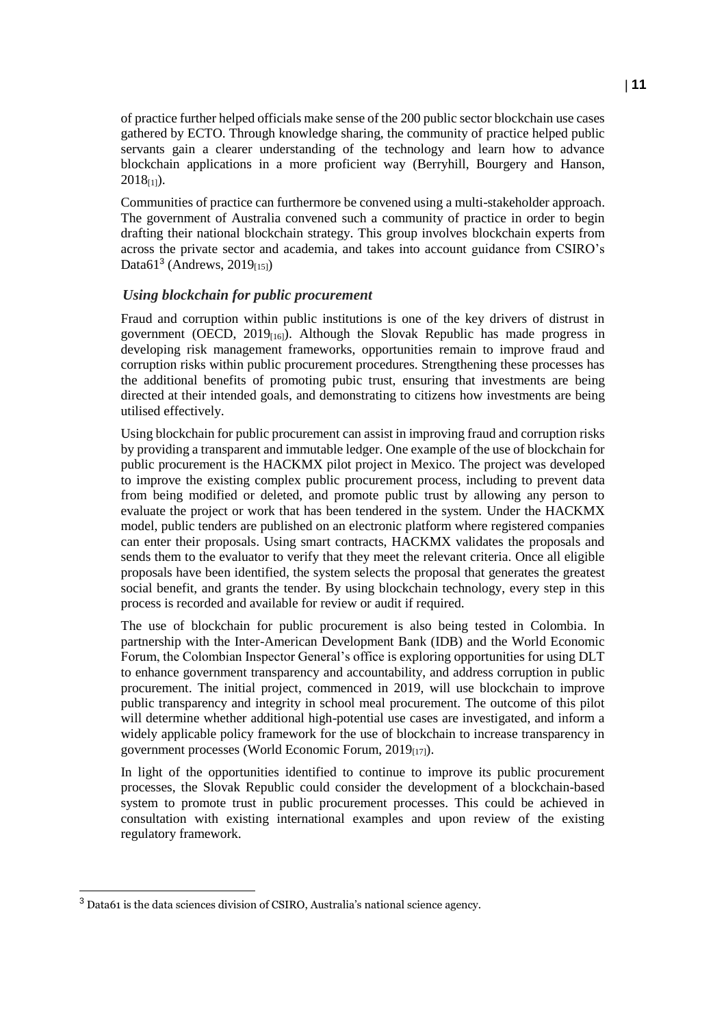of practice further helped officials make sense of the 200 public sector blockchain use cases gathered by ECTO. Through knowledge sharing, the community of practice helped public servants gain a clearer understanding of the technology and learn how to advance blockchain applications in a more proficient way (Berryhill, Bourgery and Hanson,  $2018_{[1]}$ ).

Communities of practice can furthermore be convened using a multi-stakeholder approach. The government of Australia convened such a community of practice in order to begin drafting their national blockchain strategy. This group involves blockchain experts from across the private sector and academia, and takes into account guidance from CSIRO's Data $61^3$  (Andrews, 2019 $_{[15]}$ )

#### *Using blockchain for public procurement*

Fraud and corruption within public institutions is one of the key drivers of distrust in government (OECD,  $2019_{[16]}$ ). Although the Slovak Republic has made progress in developing risk management frameworks, opportunities remain to improve fraud and corruption risks within public procurement procedures. Strengthening these processes has the additional benefits of promoting pubic trust, ensuring that investments are being directed at their intended goals, and demonstrating to citizens how investments are being utilised effectively.

Using blockchain for public procurement can assist in improving fraud and corruption risks by providing a transparent and immutable ledger. One example of the use of blockchain for public procurement is the HACKMX pilot project in Mexico. The project was developed to improve the existing complex public procurement process, including to prevent data from being modified or deleted, and promote public trust by allowing any person to evaluate the project or work that has been tendered in the system. Under the HACKMX model, public tenders are published on an electronic platform where registered companies can enter their proposals. Using smart contracts, HACKMX validates the proposals and sends them to the evaluator to verify that they meet the relevant criteria. Once all eligible proposals have been identified, the system selects the proposal that generates the greatest social benefit, and grants the tender. By using blockchain technology, every step in this process is recorded and available for review or audit if required.

The use of blockchain for public procurement is also being tested in Colombia. In partnership with the Inter-American Development Bank (IDB) and the World Economic Forum, the Colombian Inspector General's office is exploring opportunities for using DLT to enhance government transparency and accountability, and address corruption in public procurement. The initial project, commenced in 2019, will use blockchain to improve public transparency and integrity in school meal procurement. The outcome of this pilot will determine whether additional high-potential use cases are investigated, and inform a widely applicable policy framework for the use of blockchain to increase transparency in government processes (World Economic Forum,  $2019_{[17]}$ ).

In light of the opportunities identified to continue to improve its public procurement processes, the Slovak Republic could consider the development of a blockchain-based system to promote trust in public procurement processes. This could be achieved in consultation with existing international examples and upon review of the existing regulatory framework.

<sup>3</sup> Data61 is the data sciences division of CSIRO, Australia's national science agency.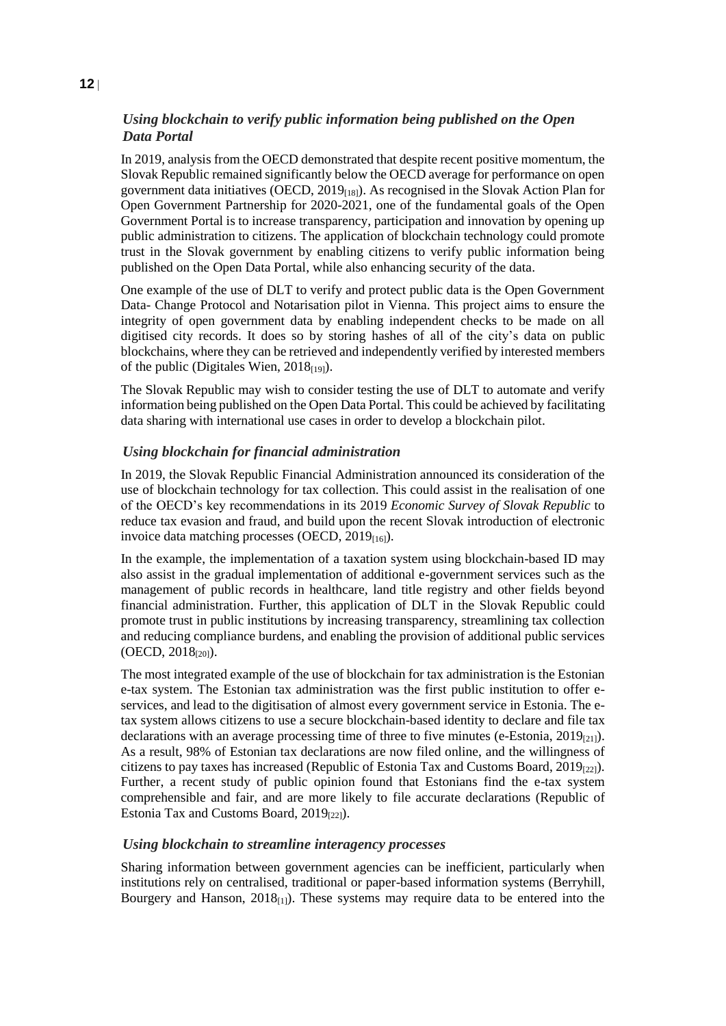#### *Using blockchain to verify public information being published on the Open Data Portal*

In 2019, analysis from the OECD demonstrated that despite recent positive momentum, the Slovak Republic remained significantly below the OECD average for performance on open government data initiatives (OECD,  $2019<sub>[18]</sub>$ ). As recognised in the Slovak Action Plan for Open Government Partnership for 2020-2021, one of the fundamental goals of the Open Government Portal is to increase transparency, participation and innovation by opening up public administration to citizens. The application of blockchain technology could promote trust in the Slovak government by enabling citizens to verify public information being published on the Open Data Portal, while also enhancing security of the data.

One example of the use of DLT to verify and protect public data is the Open Government Data- Change Protocol and Notarisation pilot in Vienna. This project aims to ensure the integrity of open government data by enabling independent checks to be made on all digitised city records. It does so by storing hashes of all of the city's data on public blockchains, where they can be retrieved and independently verified by interested members of the public (Digitales Wien,  $2018_{[19]}$ ).

The Slovak Republic may wish to consider testing the use of DLT to automate and verify information being published on the Open Data Portal. This could be achieved by facilitating data sharing with international use cases in order to develop a blockchain pilot.

#### *Using blockchain for financial administration*

In 2019, the Slovak Republic Financial Administration announced its consideration of the use of blockchain technology for tax collection. This could assist in the realisation of one of the OECD's key recommendations in its 2019 *Economic Survey of Slovak Republic* to reduce tax evasion and fraud, and build upon the recent Slovak introduction of electronic invoice data matching processes (OECD,  $2019_{[16]}$ ).

In the example, the implementation of a taxation system using blockchain-based ID may also assist in the gradual implementation of additional e-government services such as the management of public records in healthcare, land title registry and other fields beyond financial administration. Further, this application of DLT in the Slovak Republic could promote trust in public institutions by increasing transparency, streamlining tax collection and reducing compliance burdens, and enabling the provision of additional public services  $(OECD, 2018<sub>[20]</sub>).$ 

The most integrated example of the use of blockchain for tax administration is the Estonian e-tax system. The Estonian tax administration was the first public institution to offer eservices, and lead to the digitisation of almost every government service in Estonia. The etax system allows citizens to use a secure blockchain-based identity to declare and file tax declarations with an average processing time of three to five minutes (e-Estonia, 2019<sub>[21]</sub>). As a result, 98% of Estonian tax declarations are now filed online, and the willingness of citizens to pay taxes has increased (Republic of Estonia Tax and Customs Board,  $2019_{[22]}$ ). Further, a recent study of public opinion found that Estonians find the e-tax system comprehensible and fair, and are more likely to file accurate declarations (Republic of Estonia Tax and Customs Board,  $2019_{[22]}$ ).

#### *Using blockchain to streamline interagency processes*

Sharing information between government agencies can be inefficient, particularly when institutions rely on centralised, traditional or paper-based information systems (Berryhill, Bourgery and Hanson,  $2018_{[1]}$ ). These systems may require data to be entered into the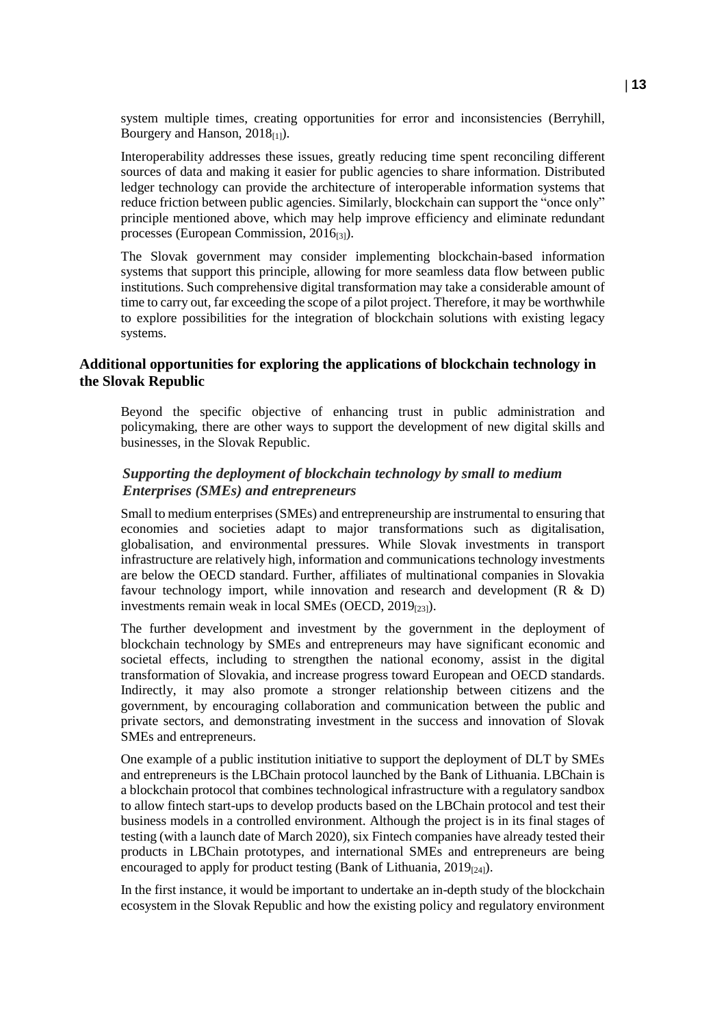system multiple times, creating opportunities for error and inconsistencies (Berryhill, Bourgery and Hanson,  $2018_{11}$ ).

Interoperability addresses these issues, greatly reducing time spent reconciling different sources of data and making it easier for public agencies to share information. Distributed ledger technology can provide the architecture of interoperable information systems that reduce friction between public agencies. Similarly, blockchain can support the "once only" principle mentioned above, which may help improve efficiency and eliminate redundant processes (European Commission, 2016<sub>[3]</sub>).

The Slovak government may consider implementing blockchain-based information systems that support this principle, allowing for more seamless data flow between public institutions. Such comprehensive digital transformation may take a considerable amount of time to carry out, far exceeding the scope of a pilot project. Therefore, it may be worthwhile to explore possibilities for the integration of blockchain solutions with existing legacy systems.

#### **Additional opportunities for exploring the applications of blockchain technology in the Slovak Republic**

Beyond the specific objective of enhancing trust in public administration and policymaking, there are other ways to support the development of new digital skills and businesses, in the Slovak Republic.

#### *Supporting the deployment of blockchain technology by small to medium Enterprises (SMEs) and entrepreneurs*

Small to medium enterprises (SMEs) and entrepreneurship are instrumental to ensuring that economies and societies adapt to major transformations such as digitalisation, globalisation, and environmental pressures. While Slovak investments in transport infrastructure are relatively high, information and communications technology investments are below the OECD standard. Further, affiliates of multinational companies in Slovakia favour technology import, while innovation and research and development (R & D) investments remain weak in local SMEs (OECD,  $2019_{[23]}$ ).

The further development and investment by the government in the deployment of blockchain technology by SMEs and entrepreneurs may have significant economic and societal effects, including to strengthen the national economy, assist in the digital transformation of Slovakia, and increase progress toward European and OECD standards. Indirectly, it may also promote a stronger relationship between citizens and the government, by encouraging collaboration and communication between the public and private sectors, and demonstrating investment in the success and innovation of Slovak SMEs and entrepreneurs.

One example of a public institution initiative to support the deployment of DLT by SMEs and entrepreneurs is the LBChain protocol launched by the Bank of Lithuania. LBChain is a blockchain protocol that combines technological infrastructure with a regulatory sandbox to allow fintech start-ups to develop products based on the LBChain protocol and test their business models in a controlled environment. Although the project is in its final stages of testing (with a launch date of March 2020), six Fintech companies have already tested their products in LBChain prototypes, and international SMEs and entrepreneurs are being encouraged to apply for product testing (Bank of Lithuania,  $2019_{[24]}$ ).

In the first instance, it would be important to undertake an in-depth study of the blockchain ecosystem in the Slovak Republic and how the existing policy and regulatory environment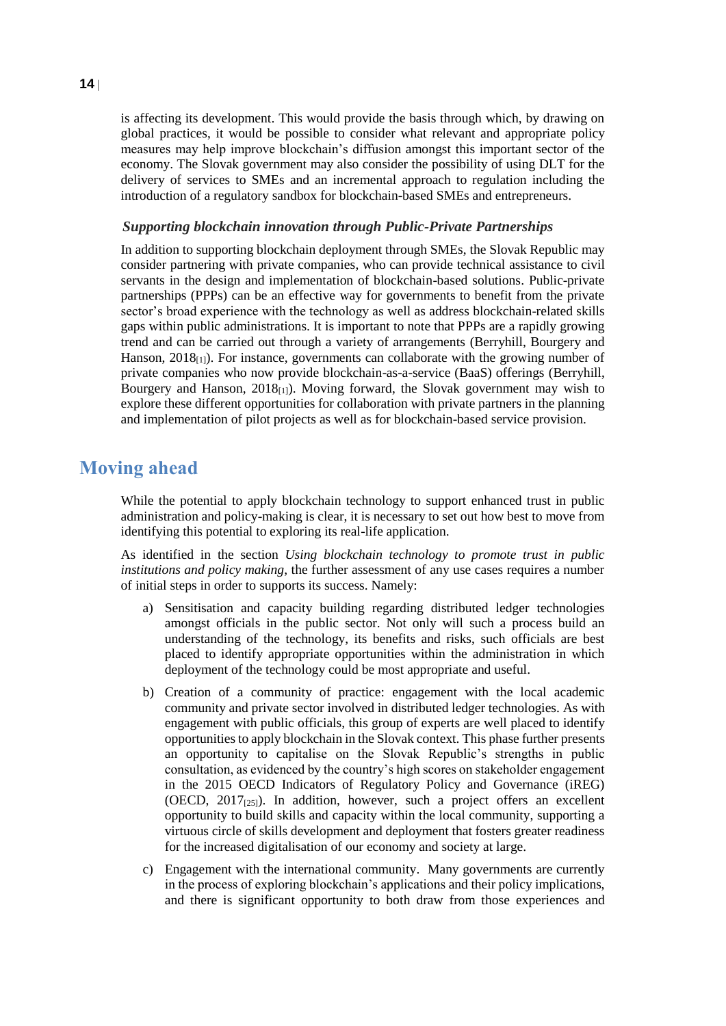is affecting its development. This would provide the basis through which, by drawing on global practices, it would be possible to consider what relevant and appropriate policy measures may help improve blockchain's diffusion amongst this important sector of the economy. The Slovak government may also consider the possibility of using DLT for the delivery of services to SMEs and an incremental approach to regulation including the introduction of a regulatory sandbox for blockchain-based SMEs and entrepreneurs.

#### *Supporting blockchain innovation through Public-Private Partnerships*

In addition to supporting blockchain deployment through SMEs, the Slovak Republic may consider partnering with private companies, who can provide technical assistance to civil servants in the design and implementation of blockchain-based solutions. Public-private partnerships (PPPs) can be an effective way for governments to benefit from the private sector's broad experience with the technology as well as address blockchain-related skills gaps within public administrations. It is important to note that PPPs are a rapidly growing trend and can be carried out through a variety of arrangements (Berryhill, Bourgery and Hanson,  $2018_{11}$ ). For instance, governments can collaborate with the growing number of private companies who now provide blockchain-as-a-service (BaaS) offerings (Berryhill, Bourgery and Hanson,  $2018_{[1]}$ ). Moving forward, the Slovak government may wish to explore these different opportunities for collaboration with private partners in the planning and implementation of pilot projects as well as for blockchain-based service provision.

### **Moving ahead**

While the potential to apply blockchain technology to support enhanced trust in public administration and policy-making is clear, it is necessary to set out how best to move from identifying this potential to exploring its real-life application.

As identified in the section *[Using blockchain technology to promote trust in public](#page-8-0)  [institutions and policy making](#page-8-0)*, the further assessment of any use cases requires a number of initial steps in order to supports its success. Namely:

- a) Sensitisation and capacity building regarding distributed ledger technologies amongst officials in the public sector. Not only will such a process build an understanding of the technology, its benefits and risks, such officials are best placed to identify appropriate opportunities within the administration in which deployment of the technology could be most appropriate and useful.
- b) Creation of a community of practice: engagement with the local academic community and private sector involved in distributed ledger technologies. As with engagement with public officials, this group of experts are well placed to identify opportunities to apply blockchain in the Slovak context. This phase further presents an opportunity to capitalise on the Slovak Republic's strengths in public consultation, as evidenced by the country's high scores on stakeholder engagement in the 2015 OECD Indicators of Regulatory Policy and Governance (iREG) (OECD,  $2017_{[25]}$ ). In addition, however, such a project offers an excellent opportunity to build skills and capacity within the local community, supporting a virtuous circle of skills development and deployment that fosters greater readiness for the increased digitalisation of our economy and society at large.
- c) Engagement with the international community. Many governments are currently in the process of exploring blockchain's applications and their policy implications, and there is significant opportunity to both draw from those experiences and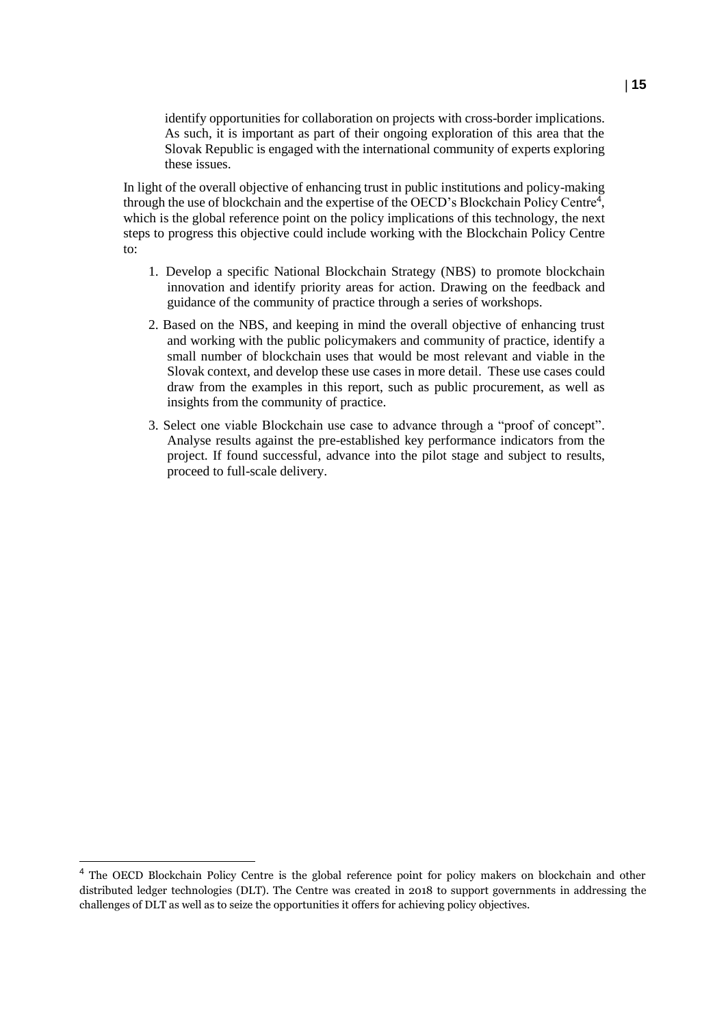identify opportunities for collaboration on projects with cross-border implications. As such, it is important as part of their ongoing exploration of this area that the Slovak Republic is engaged with the international community of experts exploring these issues.

In light of the overall objective of enhancing trust in public institutions and policy-making through the use of blockchain and the expertise of the OECD's Blockchain Policy Centre<sup>4</sup>, which is the global reference point on the policy implications of this technology, the next steps to progress this objective could include working with the Blockchain Policy Centre to:

- 1. Develop a specific National Blockchain Strategy (NBS) to promote blockchain innovation and identify priority areas for action. Drawing on the feedback and guidance of the community of practice through a series of workshops.
- 2. Based on the NBS, and keeping in mind the overall objective of enhancing trust and working with the public policymakers and community of practice, identify a small number of blockchain uses that would be most relevant and viable in the Slovak context, and develop these use cases in more detail. These use cases could draw from the examples in this report, such as public procurement, as well as insights from the community of practice.
- 3. Select one viable Blockchain use case to advance through a "proof of concept". Analyse results against the pre-established key performance indicators from the project. If found successful, advance into the pilot stage and subject to results, proceed to full-scale delivery.

<sup>&</sup>lt;sup>4</sup> The OECD Blockchain Policy Centre is the global reference point for policy makers on blockchain and other distributed ledger technologies (DLT). The Centre was created in 2018 to support governments in addressing the challenges of DLT as well as to seize the opportunities it offers for achieving policy objectives.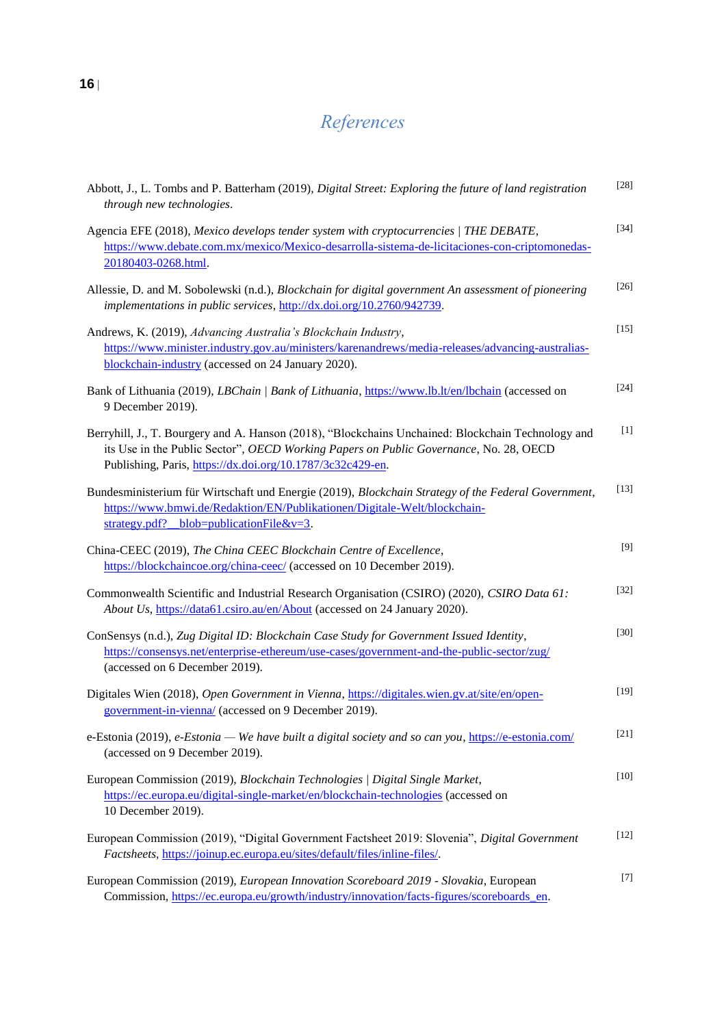# *References*

| Abbott, J., L. Tombs and P. Batterham (2019), Digital Street: Exploring the future of land registration<br>through new technologies.                                                                                                                      | $[28]$ |
|-----------------------------------------------------------------------------------------------------------------------------------------------------------------------------------------------------------------------------------------------------------|--------|
| Agencia EFE (2018), Mexico develops tender system with cryptocurrencies / THE DEBATE,<br>https://www.debate.com.mx/mexico/Mexico-desarrolla-sistema-de-licitaciones-con-criptomonedas-<br>20180403-0268.html.                                             | $[34]$ |
| Allessie, D. and M. Sobolewski (n.d.), Blockchain for digital government An assessment of pioneering<br>implementations in public services, http://dx.doi.org/10.2760/942739.                                                                             | $[26]$ |
| Andrews, K. (2019), Advancing Australia's Blockchain Industry,<br>https://www.minister.industry.gov.au/ministers/karenandrews/media-releases/advancing-australias-<br>blockchain-industry (accessed on 24 January 2020).                                  | $[15]$ |
| Bank of Lithuania (2019), LBChain   Bank of Lithuania, https://www.lb.lt/en/lbchain (accessed on<br>9 December 2019).                                                                                                                                     | $[24]$ |
| Berryhill, J., T. Bourgery and A. Hanson (2018), "Blockchains Unchained: Blockchain Technology and<br>its Use in the Public Sector", OECD Working Papers on Public Governance, No. 28, OECD<br>Publishing, Paris, https://dx.doi.org/10.1787/3c32c429-en. | $[1]$  |
| Bundesministerium für Wirtschaft und Energie (2019), Blockchain Strategy of the Federal Government,<br>https://www.bmwi.de/Redaktion/EN/Publikationen/Digitale-Welt/blockchain-<br>strategy.pdf? _blob=publicationFile&v=3.                               | $[13]$ |
| China-CEEC (2019), The China CEEC Blockchain Centre of Excellence,<br>https://blockchaincoe.org/china-ceec/ (accessed on 10 December 2019).                                                                                                               | $[9]$  |
| Commonwealth Scientific and Industrial Research Organisation (CSIRO) (2020), CSIRO Data 61:<br>About Us, https://data61.csiro.au/en/About (accessed on 24 January 2020).                                                                                  | $[32]$ |
| ConSensys (n.d.), Zug Digital ID: Blockchain Case Study for Government Issued Identity,<br>https://consensys.net/enterprise-ethereum/use-cases/government-and-the-public-sector/zug/<br>(accessed on 6 December 2019).                                    | $[30]$ |
| Digitales Wien (2018), Open Government in Vienna, https://digitales.wien.gv.at/site/en/open-<br>government-in-vienna/ (accessed on 9 December 2019).                                                                                                      | $[19]$ |
| e-Estonia (2019), e-Estonia - We have built a digital society and so can you, https://e-estonia.com/<br>(accessed on 9 December 2019).                                                                                                                    | $[21]$ |
| European Commission (2019), Blockchain Technologies / Digital Single Market,<br>https://ec.europa.eu/digital-single-market/en/blockchain-technologies (accessed on<br>10 December 2019).                                                                  | $[10]$ |
| European Commission (2019), "Digital Government Factsheet 2019: Slovenia", Digital Government<br>Factsheets, https://joinup.ec.europa.eu/sites/default/files/inline-files/.                                                                               | $[12]$ |
| European Commission (2019), European Innovation Scoreboard 2019 - Slovakia, European<br>Commission, https://ec.europa.eu/growth/industry/innovation/facts-figures/scoreboards en.                                                                         | $[7]$  |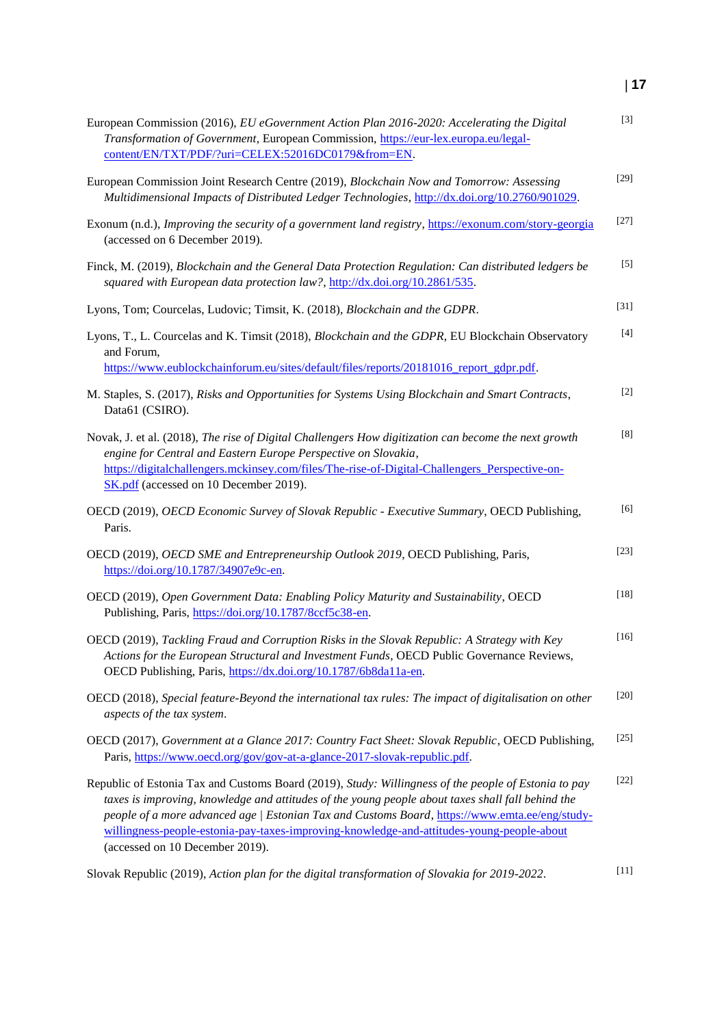# **17**

| European Commission (2016), EU eGovernment Action Plan 2016-2020: Accelerating the Digital<br>Transformation of Government, European Commission, https://eur-lex.europa.eu/legal-<br>content/EN/TXT/PDF/?uri=CELEX:52016DC0179&from=EN.                                                                                                                                                                                                     | $[3]$                                                                                                                                                                                          |
|---------------------------------------------------------------------------------------------------------------------------------------------------------------------------------------------------------------------------------------------------------------------------------------------------------------------------------------------------------------------------------------------------------------------------------------------|------------------------------------------------------------------------------------------------------------------------------------------------------------------------------------------------|
| European Commission Joint Research Centre (2019), Blockchain Now and Tomorrow: Assessing<br>Multidimensional Impacts of Distributed Ledger Technologies, http://dx.doi.org/10.2760/901029.                                                                                                                                                                                                                                                  | $[29]$                                                                                                                                                                                         |
| Exonum (n.d.), Improving the security of a government land registry, https://exonum.com/story-georgia<br>(accessed on 6 December 2019).                                                                                                                                                                                                                                                                                                     | $[27]$                                                                                                                                                                                         |
| Finck, M. (2019), Blockchain and the General Data Protection Regulation: Can distributed ledgers be<br>squared with European data protection law?, http://dx.doi.org/10.2861/535.                                                                                                                                                                                                                                                           | $[5]$                                                                                                                                                                                          |
| Lyons, Tom; Courcelas, Ludovic; Timsit, K. (2018), Blockchain and the GDPR.                                                                                                                                                                                                                                                                                                                                                                 | $[31]$                                                                                                                                                                                         |
| Lyons, T., L. Courcelas and K. Timsit (2018), Blockchain and the GDPR, EU Blockchain Observatory<br>and Forum,                                                                                                                                                                                                                                                                                                                              | $[4]$                                                                                                                                                                                          |
| https://www.eublockchainforum.eu/sites/default/files/reports/20181016_report_gdpr.pdf.                                                                                                                                                                                                                                                                                                                                                      |                                                                                                                                                                                                |
| M. Staples, S. (2017), Risks and Opportunities for Systems Using Blockchain and Smart Contracts,<br>Data61 (CSIRO).                                                                                                                                                                                                                                                                                                                         | $[2]$                                                                                                                                                                                          |
| Novak, J. et al. (2018), The rise of Digital Challengers How digitization can become the next growth<br>engine for Central and Eastern Europe Perspective on Slovakia,<br>https://digitalchallengers.mckinsey.com/files/The-rise-of-Digital-Challengers_Perspective-on-<br>SK.pdf (accessed on 10 December 2019).                                                                                                                           | $[8]$                                                                                                                                                                                          |
| OECD (2019), OECD Economic Survey of Slovak Republic - Executive Summary, OECD Publishing,<br>Paris.                                                                                                                                                                                                                                                                                                                                        | $[6] % \begin{center} \includegraphics[width=\linewidth]{imagesSupplemental/Imit} \caption{The image shows the image shows a function of the number of times.} \label{fig:limal} \end{center}$ |
| OECD (2019), OECD SME and Entrepreneurship Outlook 2019, OECD Publishing, Paris,<br>https://doi.org/10.1787/34907e9c-en.                                                                                                                                                                                                                                                                                                                    | $[23]$                                                                                                                                                                                         |
| OECD (2019), Open Government Data: Enabling Policy Maturity and Sustainability, OECD<br>Publishing, Paris, https://doi.org/10.1787/8ccf5c38-en.                                                                                                                                                                                                                                                                                             | $[18]$                                                                                                                                                                                         |
| OECD (2019), Tackling Fraud and Corruption Risks in the Slovak Republic: A Strategy with Key<br>Actions for the European Structural and Investment Funds, OECD Public Governance Reviews.<br>OECD Publishing, Paris, https://dx.doi.org/10.1787/6b8da11a-en.                                                                                                                                                                                | $[16]$                                                                                                                                                                                         |
| OECD (2018), Special feature-Beyond the international tax rules: The impact of digitalisation on other<br>aspects of the tax system.                                                                                                                                                                                                                                                                                                        | $[20]$                                                                                                                                                                                         |
| OECD (2017), Government at a Glance 2017: Country Fact Sheet: Slovak Republic, OECD Publishing,<br>Paris, https://www.oecd.org/gov/gov-at-a-glance-2017-slovak-republic.pdf.                                                                                                                                                                                                                                                                | $[25]$                                                                                                                                                                                         |
| Republic of Estonia Tax and Customs Board (2019), Study: Willingness of the people of Estonia to pay<br>taxes is improving, knowledge and attitudes of the young people about taxes shall fall behind the<br>people of a more advanced age   Estonian Tax and Customs Board, https://www.emta.ee/eng/study-<br>willingness-people-estonia-pay-taxes-improving-knowledge-and-attitudes-young-people-about<br>(accessed on 10 December 2019). | $[22]$                                                                                                                                                                                         |
| Slovak Republic (2019), Action plan for the digital transformation of Slovakia for 2019-2022.                                                                                                                                                                                                                                                                                                                                               | $[11]$                                                                                                                                                                                         |